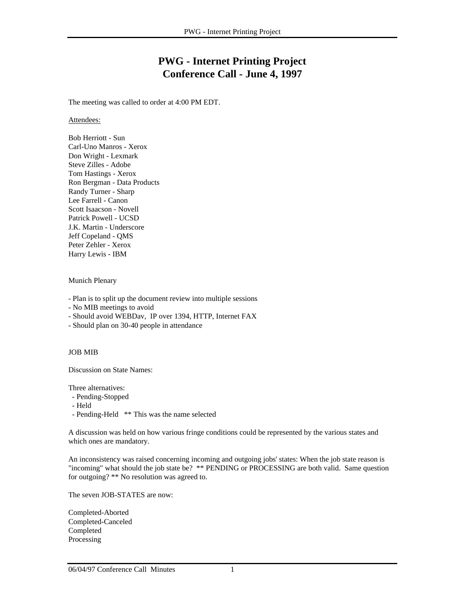# **PWG - Internet Printing Project Conference Call - June 4, 1997**

The meeting was called to order at 4:00 PM EDT.

### Attendees:

Bob Herriott - Sun Carl-Uno Manros - Xerox Don Wright - Lexmark Steve Zilles - Adobe Tom Hastings - Xerox Ron Bergman - Data Products Randy Turner - Sharp Lee Farrell - Canon Scott Isaacson - Novell Patrick Powell - UCSD J.K. Martin - Underscore Jeff Copeland - QMS Peter Zehler - Xerox Harry Lewis - IBM

## Munich Plenary

- Plan is to split up the document review into multiple sessions

- No MIB meetings to avoid

- Should avoid WEBDav, IP over 1394, HTTP, Internet FAX

- Should plan on 30-40 people in attendance

## JOB MIB

Discussion on State Names:

Three alternatives:

- Pending-Stopped
- Held

- Pending-Held \*\* This was the name selected

A discussion was held on how various fringe conditions could be represented by the various states and which ones are mandatory.

An inconsistency was raised concerning incoming and outgoing jobs' states: When the job state reason is "incoming" what should the job state be? \*\* PENDING or PROCESSING are both valid. Same question for outgoing? \*\* No resolution was agreed to.

The seven JOB-STATES are now:

Completed-Aborted Completed-Canceled Completed Processing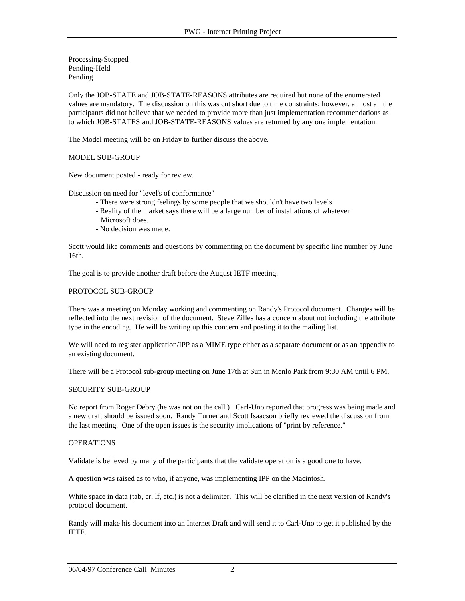Processing-Stopped Pending-Held Pending

Only the JOB-STATE and JOB-STATE-REASONS attributes are required but none of the enumerated values are mandatory. The discussion on this was cut short due to time constraints; however, almost all the participants did not believe that we needed to provide more than just implementation recommendations as to which JOB-STATES and JOB-STATE-REASONS values are returned by any one implementation.

The Model meeting will be on Friday to further discuss the above.

## MODEL SUB-GROUP

New document posted - ready for review.

Discussion on need for "level's of conformance"

- There were strong feelings by some people that we shouldn't have two levels
- Reality of the market says there will be a large number of installations of whatever Microsoft does.
- No decision was made.

Scott would like comments and questions by commenting on the document by specific line number by June 16th.

The goal is to provide another draft before the August IETF meeting.

#### PROTOCOL SUB-GROUP

There was a meeting on Monday working and commenting on Randy's Protocol document. Changes will be reflected into the next revision of the document. Steve Zilles has a concern about not including the attribute type in the encoding. He will be writing up this concern and posting it to the mailing list.

We will need to register application/IPP as a MIME type either as a separate document or as an appendix to an existing document.

There will be a Protocol sub-group meeting on June 17th at Sun in Menlo Park from 9:30 AM until 6 PM.

#### SECURITY SUB-GROUP

No report from Roger Debry (he was not on the call.) Carl-Uno reported that progress was being made and a new draft should be issued soon. Randy Turner and Scott Isaacson briefly reviewed the discussion from the last meeting. One of the open issues is the security implications of "print by reference."

#### OPERATIONS

Validate is believed by many of the participants that the validate operation is a good one to have.

A question was raised as to who, if anyone, was implementing IPP on the Macintosh.

White space in data (tab, cr, lf, etc.) is not a delimiter. This will be clarified in the next version of Randy's protocol document.

Randy will make his document into an Internet Draft and will send it to Carl-Uno to get it published by the **IETF**